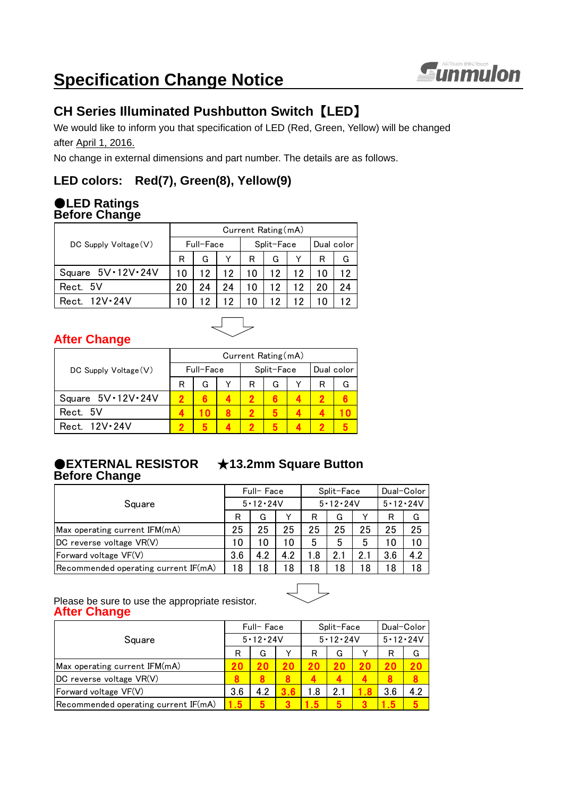

# **Specification Change Notice**

## **CH Series Illuminated Pushbutton Switch** 【**LED**】

We would like to inform you that specification of LED (Red, Green, Yellow) will be changed after April 1, 2016.

No change in external dimensions and part number. The details are as follows.

## **LED colors: Red(7), Green(8), Yellow(9)**

### ●**LED Ratings Before Change**

|                                 | Current Rating (mA) |           |    |    |            |            |    |    |  |  |  |
|---------------------------------|---------------------|-----------|----|----|------------|------------|----|----|--|--|--|
| $DC$ Supply Voltage $(V)$       |                     | Full-Face |    |    | Split-Face | Dual color |    |    |  |  |  |
|                                 | R                   | G         |    | R  | G          |            | R  | G  |  |  |  |
| Square $5V \cdot 12V \cdot 24V$ | 10                  | 12        | 12 | 10 | 12         | 12         | 10 | 12 |  |  |  |
| Rect. 5V                        | 20                  | 24        | 24 | 10 | 12         | 12         | 20 | 24 |  |  |  |
| Rect. 12V.24V                   |                     |           |    |    | 12         | 12         |    |    |  |  |  |

## **After Change**

|                           | Current Rating (mA) |           |  |   |            |            |   |   |  |  |
|---------------------------|---------------------|-----------|--|---|------------|------------|---|---|--|--|
| $DC$ Supply Voltage $(V)$ |                     | Full-Face |  |   | Split-Face | Dual color |   |   |  |  |
|                           | R                   | G         |  | R | G          |            | R | G |  |  |
| Square 5V · 12V · 24V     |                     |           |  |   |            |            |   |   |  |  |
| Rect. 5V                  |                     |           |  |   |            |            |   |   |  |  |
| Rect. 12V . 24V           |                     |           |  |   |            |            |   |   |  |  |

#### ●**EXTERNAL RESISTOR** ★**13.2mm Square Button Before Change**

#### R | G | Y | R | G | Y | R | G Max operating current IFM(mA) 25 25 25 25 25 25 25 25 25 25 DC reverse voltage VR(V) 10 10 10 5 5 5 10 10 Forward voltage VF(V)  $3.6 | 4.2 | 4.2 | 1.8 | 2.1 | 2.1 | 3.6 | 4.2$ Recommended operating current IF(mA) 18 18 18 18 18 18 18 18 Square Full-Face Split-Face Dual-Color 5・12・24V 5・12・24V 5・12・24V

Please be sure to use the appropriate resistor. **After Change**

| Square                               |     | Full-Face      |    |     | Split-Face     | Dual-Color     |     |     |
|--------------------------------------|-----|----------------|----|-----|----------------|----------------|-----|-----|
|                                      |     | $5 - 12 - 24V$ |    |     | $5 - 12 - 24V$ | $5 - 12 - 24V$ |     |     |
|                                      |     | G              |    | R   | G              |                |     | G   |
| Max operating current IFM(mA)        | 20  |                | 20 | 20  |                |                |     | 20  |
| DC reverse voltage VR(V)             |     |                |    |     |                |                |     |     |
| Forward voltage VF(V)                | 3.6 | 4.2            |    | l.8 | 2.             |                | 3.6 | 4.2 |
| Recommended operating current IF(mA) | 15  |                |    | -5  |                |                |     |     |